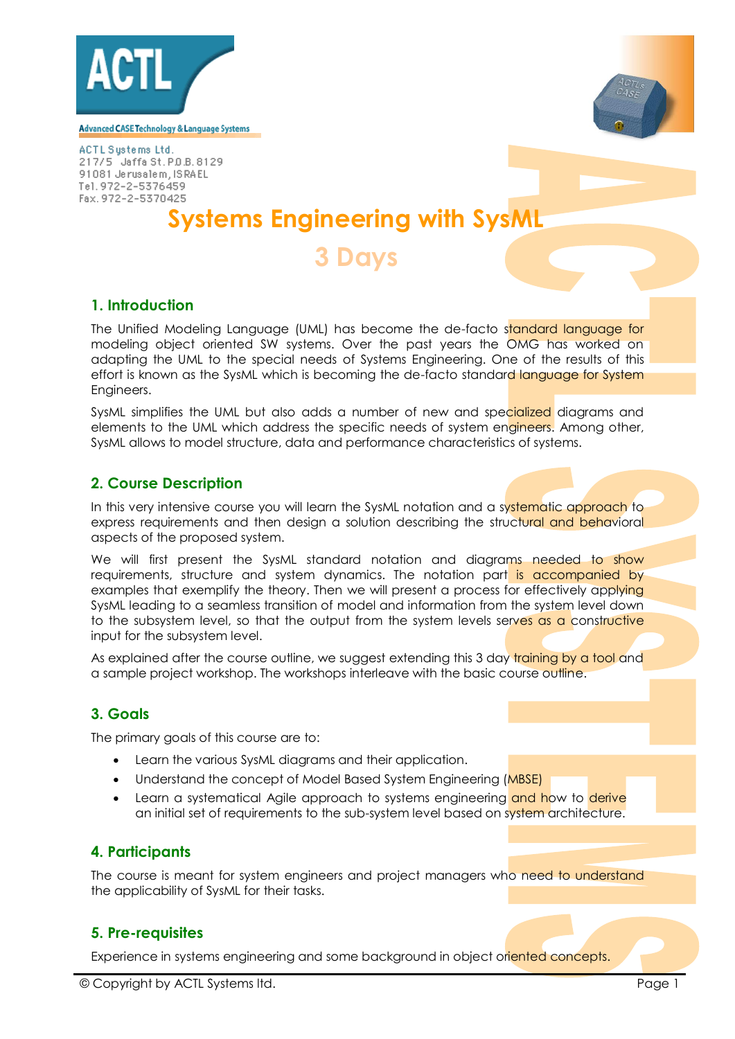



ACTL Systems Ltd. 217/5 Jaffa St. P.D.B. 8129 91081 Jerusalem, ISRAEL Tel. 972-2-5376459 Fax. 972-2-5370425

# **Systems Engineering with SysML**

## **3 Days**

#### **1. Introduction**

The Unified Modeling Language (UML) has become the de-facto standard language for modeling object oriented SW systems. Over the past years the OMG has worked on adapting the UML to the special needs of Systems Engineering. One of the results of this effort is known as the SysML which is becoming the de-facto standard language for System Engineers.

SysML simplifies the UML but also adds a number of new and specialized diagrams and elements to the UML which address the specific needs of system engineers. Among other, SysML allows to model structure, data and performance characteristics of systems.

#### **2. Course Description**

In this very intensive course you will learn the SysML notation and a systematic approach to express requirements and then design a solution describing the structural and behavioral aspects of the proposed system.

We will first present the SysML standard notation and diagrams needed to show requirements, structure and system dynamics. The notation part is accompanied by examples that exemplify the theory. Then we will present a process for effectively applying SysML leading to a seamless transition of model and information from the system level down to the subsystem level, so that the output from the system levels serves as a constructive input for the subsystem level.

As explained after the course outline, we suggest extending this 3 day training by a tool and a sample project workshop. The workshops interleave with the basic course outline.

### **3. Goals**

The primary goals of this course are to:

- Learn the various SysML diagrams and their application.
- Understand the concept of Model Based System Engineering (MBSE)
- Learn a systematical Agile approach to systems engineering and how to derive an initial set of requirements to the sub-system level based on system architecture.

#### **4. Participants**

The course is meant for system engineers and project managers who need to understand the applicability of SysML for their tasks.

### **5. Pre-requisites**

Experience in systems engineering and some background in object oriented concepts.